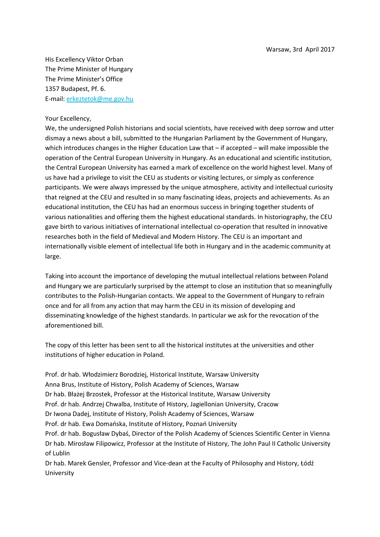His Excellency Viktor Orban The Prime Minister of Hungary The Prime Minister's Office 1357 Budapest, Pf. 6. E-mail: [erkeztetok@me.gov.hu](mailto:erkeztetok@me.gov.hu)

## Your Excellency,

We, the undersigned Polish historians and social scientists, have received with deep sorrow and utter dismay a news about a bill, submitted to the Hungarian Parliament by the Government of Hungary, which introduces changes in the Higher Education Law that – if accepted – will make impossible the operation of the Central European University in Hungary. As an educational and scientific institution, the Central European University has earned a mark of excellence on the world highest level. Many of us have had a privilege to visit the CEU as students or visiting lectures, or simply as conference participants. We were always impressed by the unique atmosphere, activity and intellectual curiosity that reigned at the CEU and resulted in so many fascinating ideas, projects and achievements. As an educational institution, the CEU has had an enormous success in bringing together students of various nationalities and offering them the highest educational standards. In historiography, the CEU gave birth to various initiatives of international intellectual co-operation that resulted in innovative researches both in the field of Medieval and Modern History. The CEU is an important and internationally visible element of intellectual life both in Hungary and in the academic community at large.

Taking into account the importance of developing the mutual intellectual relations between Poland and Hungary we are particularly surprised by the attempt to close an institution that so meaningfully contributes to the Polish-Hungarian contacts. We appeal to the Government of Hungary to refrain once and for all from any action that may harm the CEU in its mission of developing and disseminating knowledge of the highest standards. In particular we ask for the revocation of the aforementioned bill.

The copy of this letter has been sent to all the historical institutes at the universities and other institutions of higher education in Poland.

Prof. dr hab. Włodzimierz Borodziej, Historical Institute, Warsaw University Anna Brus, Institute of History, Polish Academy of Sciences, Warsaw Dr hab. Błażej Brzostek, Professor at the Historical Institute, Warsaw University Prof. dr hab. Andrzej Chwalba, Institute of History, Jagiellonian University, Cracow Dr Iwona Dadej, Institute of History, Polish Academy of Sciences, Warsaw Prof. dr hab. Ewa Domańska, Institute of History, Poznań University Prof. dr hab. Bogusław Dybaś, Director of the Polish Academy of Sciences Scientific Center in Vienna Dr hab. Mirosław Filipowicz, Professor at the Institute of History, The John Paul II Catholic University of Lublin

Dr hab. Marek Gensler, Professor and Vice-dean at the Faculty of Philosophy and History, Łódź University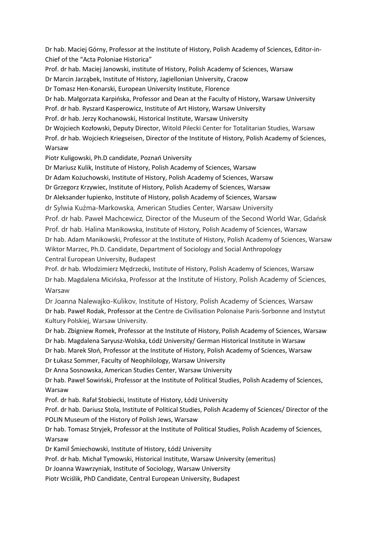Dr hab. Maciej Górny, Professor at the Institute of History, Polish Academy of Sciences, Editor-in-Chief of the "Acta Poloniae Historica"

Prof. dr hab. Maciej Janowski, institute of History, Polish Academy of Sciences, Warsaw

Dr Marcin Jarząbek, Institute of History, Jagiellonian University, Cracow

Dr Tomasz Hen-Konarski, European University Institute, Florence

Dr hab. Małgorzata Karpińska, Professor and Dean at the Faculty of History, Warsaw University

Prof. dr hab. Ryszard Kasperowicz, Institute of Art History, Warsaw University

Prof. dr hab. Jerzy Kochanowski, Historical Institute, Warsaw University

Dr Wojciech Kozłowski, Deputy Director, Witold Pilecki Center for Totalitarian Studies, Warsaw

Prof. dr hab. Wojciech Kriegseisen, Director of the Institute of History, Polish Academy of Sciences, Warsaw

Piotr Kuligowski, Ph.D candidate, Poznań University

Dr Mariusz Kulik, Institute of History, Polish Academy of Sciences, Warsaw

Dr Adam Kożuchowski, Institute of History, Polish Academy of Sciences, Warsaw

Dr Grzegorz Krzywiec, Institute of History, Polish Academy of Sciences, Warsaw

Dr Aleksander łupienko, Institute of History, polish Academy of Sciences, Warsaw

dr Sylwia Kuźma-Markowska, American Studies Center, Warsaw University

Prof. dr hab. Paweł Machcewicz, Director of the Museum of the Second World War, Gdańsk Prof. dr hab. Halina Manikowska, Institute of History, Polish Academy of Sciences, Warsaw Dr hab. Adam Manikowski, Professor at the Institute of History, Polish Academy of Sciences, Warsaw Wiktor Marzec, Ph.D. Candidate, Department of Sociology and Social Anthropology Central European University, Budapest

Prof. dr hab. Włodzimierz Mędrzecki, Institute of History, Polish Academy of Sciences, Warsaw Dr hab. Magdalena Micińska, Professor at the Institute of History, Polish Academy of Sciences, Warsaw

Dr Joanna Nalewajko-Kulikov, Institute of History, Polish Academy of Sciences, Warsaw Dr hab. Paweł Rodak, Professor at the Centre de Civilisation Polonaise Paris-Sorbonne and Instytut Kultury Polskiej, Warsaw University.

Dr hab. Zbigniew Romek, Professor at the Institute of History, Polish Academy of Sciences, Warsaw Dr hab. Magdalena Saryusz-Wolska, Łódź University/ German Historical Institute in Warsaw

Dr hab. Marek Słoń, Professor at the Institute of History, Polish Academy of Sciences, Warsaw Dr Łukasz Sommer, Faculty of Neophilology, Warsaw University

Dr Anna Sosnowska, American Studies Center, Warsaw University

Dr hab. Paweł Sowiński, Professor at the Institute of Political Studies, Polish Academy of Sciences, Warsaw

Prof. dr hab. Rafał Stobiecki, Institute of History, Łódź University

Prof. dr hab. Dariusz Stola, Institute of Political Studies, Polish Academy of Sciences/ Director of the POLIN Museum of the History of Polish Jews, Warsaw

Dr hab. Tomasz Stryjek, Professor at the Institute of Political Studies, Polish Academy of Sciences, Warsaw

Dr Kamil Śmiechowski, Institute of History, Łódź University

Prof. dr hab. Michał Tymowski, Historical Institute, Warsaw University (emeritus)

Dr Joanna Wawrzyniak, Institute of Sociology, Warsaw University

Piotr Wciślik, PhD Candidate, Central European University, Budapest